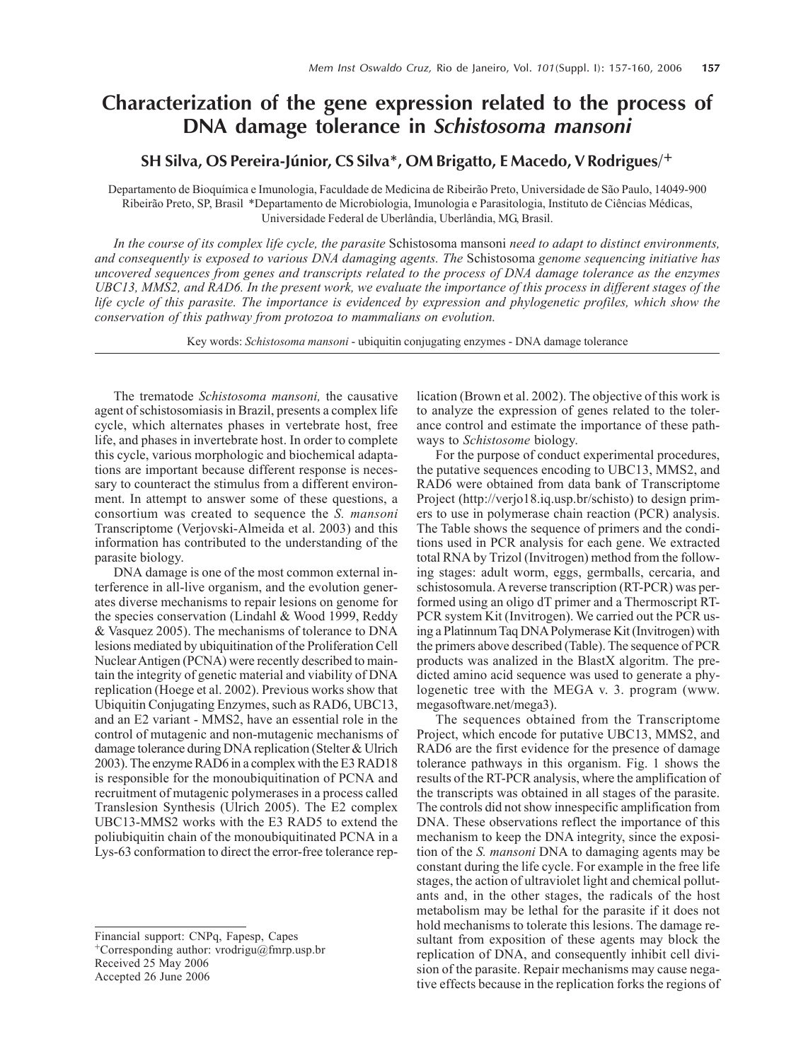## **Characterization of the gene expression related to the process of DNA damage tolerance in** *Schistosoma mansoni*

## **SH Silva, OS Pereira-Júnior, CS Silva\*, OM Brigatto, E Macedo, V Rodrigues/+**

Departamento de Bioquímica e Imunologia, Faculdade de Medicina de Ribeirão Preto, Universidade de São Paulo, 14049-900 Ribeirão Preto, SP, Brasil \*Departamento de Microbiologia, Imunologia e Parasitologia, Instituto de Ciências Médicas, Universidade Federal de Uberlândia, Uberlândia, MG, Brasil.

*In the course of its complex life cycle, the parasite* Schistosoma mansoni *need to adapt to distinct environments, and consequently is exposed to various DNA damaging agents. The* Schistosoma *genome sequencing initiative has uncovered sequences from genes and transcripts related to the process of DNA damage tolerance as the enzymes UBC13, MMS2, and RAD6. In the present work, we evaluate the importance of this process in different stages of the life cycle of this parasite. The importance is evidenced by expression and phylogenetic profiles, which show the conservation of this pathway from protozoa to mammalians on evolution.*

Key words: *Schistosoma mansoni* - ubiquitin conjugating enzymes - DNA damage tolerance

The trematode *Schistosoma mansoni,* the causative agent of schistosomiasis in Brazil, presents a complex life cycle, which alternates phases in vertebrate host, free life, and phases in invertebrate host. In order to complete this cycle, various morphologic and biochemical adaptations are important because different response is necessary to counteract the stimulus from a different environment. In attempt to answer some of these questions, a consortium was created to sequence the *S. mansoni* Transcriptome (Verjovski-Almeida et al. 2003) and this information has contributed to the understanding of the parasite biology.

DNA damage is one of the most common external interference in all-live organism, and the evolution generates diverse mechanisms to repair lesions on genome for the species conservation (Lindahl & Wood 1999, Reddy & Vasquez 2005). The mechanisms of tolerance to DNA lesions mediated by ubiquitination of the Proliferation Cell Nuclear Antigen (PCNA) were recently described to maintain the integrity of genetic material and viability of DNA replication (Hoege et al. 2002). Previous works show that Ubiquitin Conjugating Enzymes, such as RAD6, UBC13, and an E2 variant - MMS2, have an essential role in the control of mutagenic and non-mutagenic mechanisms of damage tolerance during DNA replication (Stelter & Ulrich 2003). The enzyme RAD6 in a complex with the E3 RAD18 is responsible for the monoubiquitination of PCNA and recruitment of mutagenic polymerases in a process called Translesion Synthesis (Ulrich 2005). The E2 complex UBC13-MMS2 works with the E3 RAD5 to extend the poliubiquitin chain of the monoubiquitinated PCNA in a Lys-63 conformation to direct the error-free tolerance rep-

Financial support: CNPq, Fapesp, Capes +Corresponding author: vrodrigu@fmrp.usp.br Received 25 May 2006 Accepted 26 June 2006

lication (Brown et al. 2002). The objective of this work is to analyze the expression of genes related to the tolerance control and estimate the importance of these pathways to *Schistosome* biology.

For the purpose of conduct experimental procedures, the putative sequences encoding to UBC13, MMS2, and RAD6 were obtained from data bank of Transcriptome Project (http://verjo18.iq.usp.br/schisto) to design primers to use in polymerase chain reaction (PCR) analysis. The Table shows the sequence of primers and the conditions used in PCR analysis for each gene. We extracted total RNA by Trizol (Invitrogen) method from the following stages: adult worm, eggs, germballs, cercaria, and schistosomula. A reverse transcription (RT-PCR) was performed using an oligo dT primer and a Thermoscript RT-PCR system Kit (Invitrogen). We carried out the PCR using a Platinnum Taq DNA Polymerase Kit (Invitrogen) with the primers above described (Table). The sequence of PCR products was analized in the BlastX algoritm. The predicted amino acid sequence was used to generate a phylogenetic tree with the MEGA v. 3. program (www. megasoftware.net/mega3).

The sequences obtained from the Transcriptome Project, which encode for putative UBC13, MMS2, and RAD6 are the first evidence for the presence of damage tolerance pathways in this organism. Fig. 1 shows the results of the RT-PCR analysis, where the amplification of the transcripts was obtained in all stages of the parasite. The controls did not show innespecific amplification from DNA. These observations reflect the importance of this mechanism to keep the DNA integrity, since the exposition of the *S. mansoni* DNA to damaging agents may be constant during the life cycle. For example in the free life stages, the action of ultraviolet light and chemical pollutants and, in the other stages, the radicals of the host metabolism may be lethal for the parasite if it does not hold mechanisms to tolerate this lesions. The damage resultant from exposition of these agents may block the replication of DNA, and consequently inhibit cell division of the parasite. Repair mechanisms may cause negative effects because in the replication forks the regions of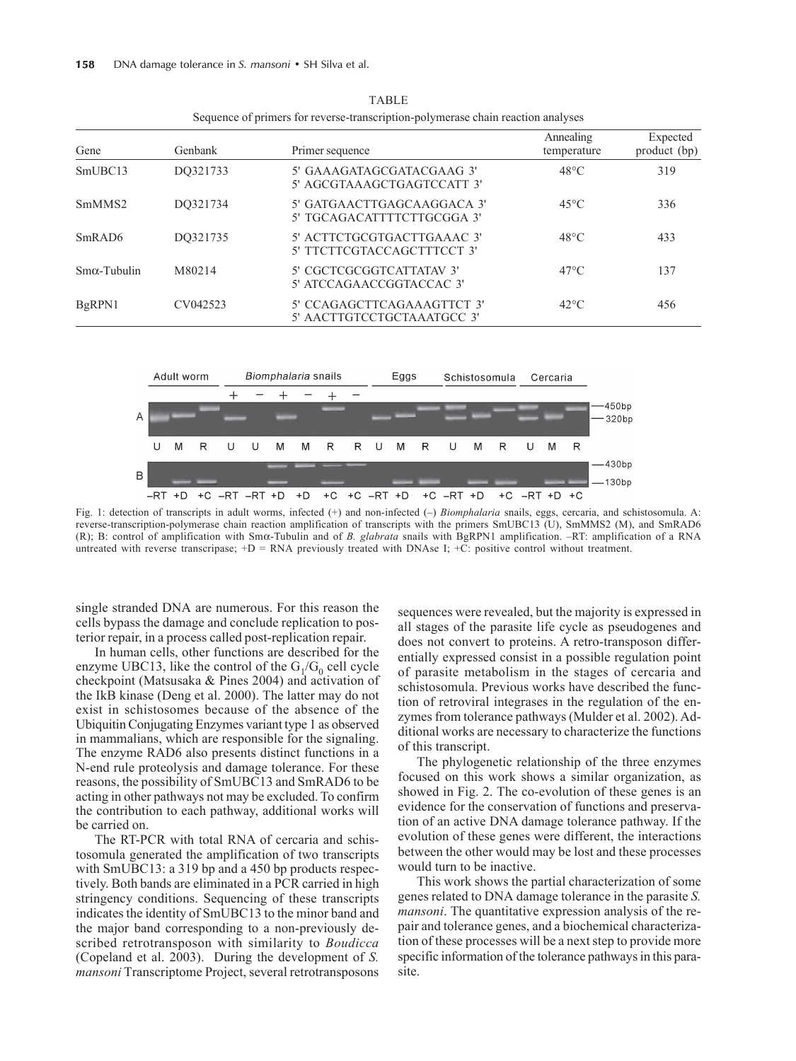| Gene                | Genbank  | Primer sequence                                          | Annealing<br>temperature | Expected<br>product (bp) |
|---------------------|----------|----------------------------------------------------------|--------------------------|--------------------------|
| SmUBC <sub>13</sub> | DO321733 | 5' GAAAGATAGCGATACGAAG 3'<br>5' AGCGTAAAGCTGAGTCCATT 3'  | $48^{\circ}$ C           | 319                      |
| SmMMS <sub>2</sub>  | DO321734 | 5' GATGAACTTGAGCAAGGACA 3'<br>5' TGCAGACATTTTCTTGCGGA 3' | $45^{\circ}$ C           | 336                      |
| SmRAD <sub>6</sub>  | DO321735 | 5' ACTTCTGCGTGACTTGAAAC 3'<br>5' TTCTTCGTACCAGCTTTCCT 3' | $48^{\circ}$ C           | 433                      |
| $Sm\alpha$ -Tubulin | M80214   | 5' CGCTCGCGGTCATTATAV 3'<br>5' ATCCAGAACCGGTACCAC 3'     | $47^{\circ}$ C           | 137                      |
| BgRPN1              | CV042523 | 5' CCAGAGCTTCAGAAAGTTCT 3'<br>5' AACTTGTCCTGCTAAATGCC 3' | $42^{\circ}$ C           | 456                      |

TABLE Sequence of primers for reverse-transcription-polymerase chain reaction analyses



Fig. 1: detection of transcripts in adult worms, infected (+) and non-infected (–) *Biomphalaria* snails, eggs, cercaria, and schistosomula. A: reverse-transcription-polymerase chain reaction amplification of transcripts with the primers SmUBC13 (U), SmMMS2 (M), and SmRAD6 (R); B: control of amplification with Smα-Tubulin and of *B. glabrata* snails with BgRPN1 amplification. –RT: amplification of a RNA untreated with reverse transcripase;  $+D = RNA$  previously treated with DNAse I;  $+C$ : positive control without treatment.

single stranded DNA are numerous. For this reason the cells bypass the damage and conclude replication to posterior repair, in a process called post-replication repair.

In human cells, other functions are described for the enzyme UBC13, like the control of the  $G_1/G_0$  cell cycle checkpoint (Matsusaka & Pines 2004) and activation of the IkB kinase (Deng et al. 2000). The latter may do not exist in schistosomes because of the absence of the Ubiquitin Conjugating Enzymes variant type 1 as observed in mammalians, which are responsible for the signaling. The enzyme RAD6 also presents distinct functions in a N-end rule proteolysis and damage tolerance. For these reasons, the possibility of SmUBC13 and SmRAD6 to be acting in other pathways not may be excluded. To confirm the contribution to each pathway, additional works will be carried on.

The RT-PCR with total RNA of cercaria and schistosomula generated the amplification of two transcripts with SmUBC13: a 319 bp and a 450 bp products respectively. Both bands are eliminated in a PCR carried in high stringency conditions. Sequencing of these transcripts indicates the identity of SmUBC13 to the minor band and the major band corresponding to a non-previously described retrotransposon with similarity to *Boudicca* (Copeland et al. 2003). During the development of *S. mansoni* Transcriptome Project, several retrotransposons sequences were revealed, but the majority is expressed in all stages of the parasite life cycle as pseudogenes and does not convert to proteins. A retro-transposon differentially expressed consist in a possible regulation point of parasite metabolism in the stages of cercaria and schistosomula. Previous works have described the function of retroviral integrases in the regulation of the enzymes from tolerance pathways (Mulder et al. 2002). Additional works are necessary to characterize the functions of this transcript.

The phylogenetic relationship of the three enzymes focused on this work shows a similar organization, as showed in Fig. 2. The co-evolution of these genes is an evidence for the conservation of functions and preservation of an active DNA damage tolerance pathway. If the evolution of these genes were different, the interactions between the other would may be lost and these processes would turn to be inactive.

This work shows the partial characterization of some genes related to DNA damage tolerance in the parasite *S. mansoni*. The quantitative expression analysis of the repair and tolerance genes, and a biochemical characterization of these processes will be a next step to provide more specific information of the tolerance pathways in this parasite.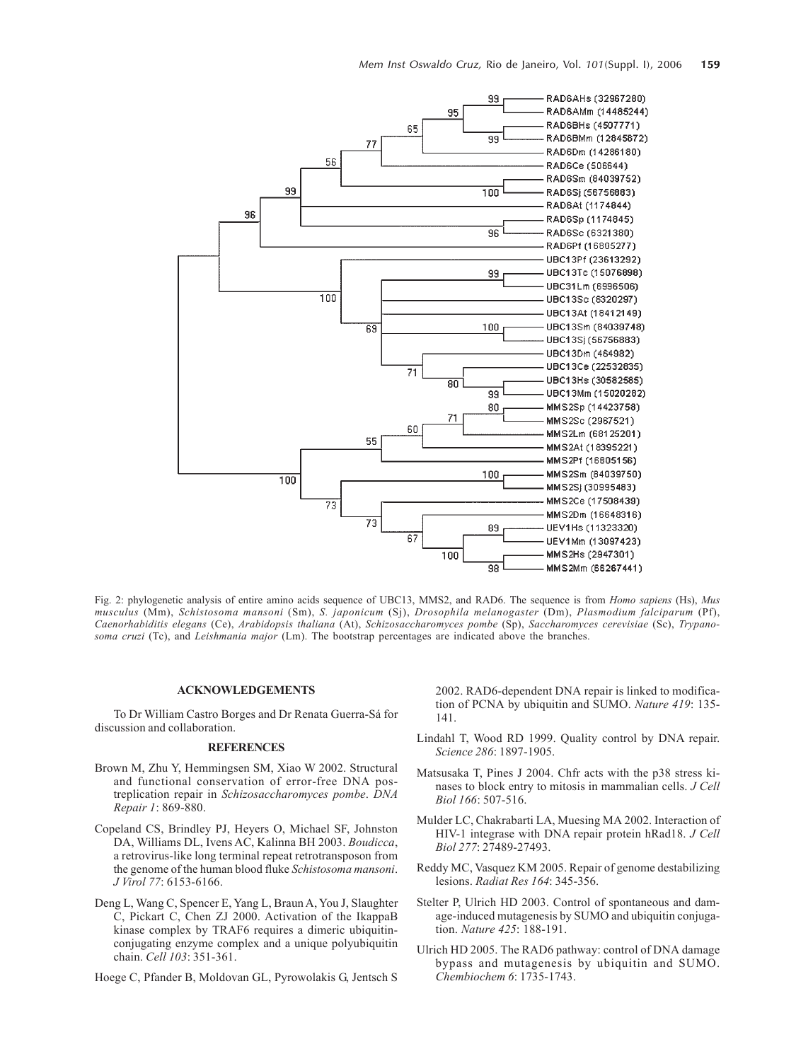

Fig. 2: phylogenetic analysis of entire amino acids sequence of UBC13, MMS2, and RAD6. The sequence is from *Homo sapiens* (Hs), *Mus musculus* (Mm), *Schistosoma mansoni* (Sm), *S. japonicum* (Sj), *Drosophila melanogaster* (Dm), *Plasmodium falciparum* (Pf), *Caenorhabiditis elegans* (Ce), *Arabidopsis thaliana* (At), *Schizosaccharomyces pombe* (Sp), *Saccharomyces cerevisiae* (Sc), *Trypanosoma cruzi* (Tc), and *Leishmania major* (Lm). The bootstrap percentages are indicated above the branches.

## **ACKNOWLEDGEMENTS**

To Dr William Castro Borges and Dr Renata Guerra-Sá for discussion and collaboration.

## **REFERENCES**

- Brown M, Zhu Y, Hemmingsen SM, Xiao W 2002. Structural and functional conservation of error-free DNA postreplication repair in *Schizosaccharomyces pombe*. *DNA Repair 1*: 869-880.
- Copeland CS, Brindley PJ, Heyers O, Michael SF, Johnston DA, Williams DL, Ivens AC, Kalinna BH 2003. *Boudicca*, a retrovirus-like long terminal repeat retrotransposon from the genome of the human blood fluke *Schistosoma mansoni*. *J Virol 77*: 6153-6166.
- Deng L, Wang C, Spencer E, Yang L, Braun A, You J, Slaughter C, Pickart C, Chen ZJ 2000. Activation of the IkappaB kinase complex by TRAF6 requires a dimeric ubiquitinconjugating enzyme complex and a unique polyubiquitin chain. *Cell 103*: 351-361.

Hoege C, Pfander B, Moldovan GL, Pyrowolakis G, Jentsch S

2002. RAD6-dependent DNA repair is linked to modification of PCNA by ubiquitin and SUMO. *Nature 419*: 135- 141.

- Lindahl T, Wood RD 1999. Quality control by DNA repair. *Science 286*: 1897-1905.
- Matsusaka T, Pines J 2004. Chfr acts with the p38 stress kinases to block entry to mitosis in mammalian cells. *J Cell Biol 166*: 507-516.
- Mulder LC, Chakrabarti LA, Muesing MA 2002. Interaction of HIV-1 integrase with DNA repair protein hRad18. *J Cell Biol 277*: 27489-27493.
- Reddy MC, Vasquez KM 2005. Repair of genome destabilizing lesions. *Radiat Res 164*: 345-356.
- Stelter P, Ulrich HD 2003. Control of spontaneous and damage-induced mutagenesis by SUMO and ubiquitin conjugation. *Nature 425*: 188-191.
- Ulrich HD 2005. The RAD6 pathway: control of DNA damage bypass and mutagenesis by ubiquitin and SUMO. *Chembiochem 6*: 1735-1743.